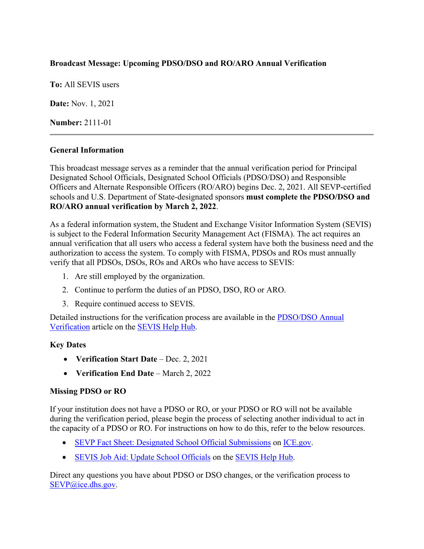## **Broadcast Message: Upcoming PDSO/DSO and RO/ARO Annual Verification**

**To:** All SEVIS users

**Date:** Nov. 1, 2021

**Number:** 2111-01

#### **General Information**

This broadcast message serves as a reminder that the annual verification period for Principal Designated School Officials, Designated School Officials (PDSO/DSO) and Responsible Officers and Alternate Responsible Officers (RO/ARO) begins Dec. 2, 2021. All SEVP-certified schools and U.S. Department of State-designated sponsors **must complete the PDSO/DSO and RO/ARO annual verification by March 2, 2022**.

As a federal information system, the Student and Exchange Visitor Information System (SEVIS) is subject to the Federal Information Security Management Act (FISMA). The act requires an annual verification that all users who access a federal system have both the business need and the authorization to access the system. To comply with FISMA, PDSOs and ROs must annually verify that all PDSOs, DSOs, ROs and AROs who have access to SEVIS:

- 1. Are still employed by the organization.
- 2. Continue to perform the duties of an PDSO, DSO, RO or ARO.
- 3. Require continued access to SEVIS.

Detailed instructions for the verification process are available in the [PDSO/DSO Annual](https://studyinthestates.dhs.gov/sevis-help-hub/school-records/pdsodso-annual-verification)  [Verification](https://studyinthestates.dhs.gov/sevis-help-hub/school-records/pdsodso-annual-verification) article on the [SEVIS Help Hub.](https://studyinthestates.dhs.gov/sevis-help-hub)

#### **Key Dates**

- **Verification Start Date** Dec. 2, 2021
- **Verification End Date** March 2, 2022

## **Missing PDSO or RO**

If your institution does not have a PDSO or RO, or your PDSO or RO will not be available during the verification period, please begin the process of selecting another individual to act in the capacity of a PDSO or RO. For instructions on how to do this, refer to the below resources.

- [SEVP Fact Sheet: Designated School Official Submissions](https://www.ice.gov/doclib/sevis/pdf/factSheetDsoSubmissions.pdf) on [ICE.gov.](https://www.ice.gov/sevis)
- [SEVIS Job Aid: Update School Officials](https://studyinthestates.dhs.gov/sevis-help-hub/learn-more/sevis-job-aids/sevis-job-aid-update-school-officials) on the [SEVIS Help Hub.](https://studyinthestates.dhs.gov/sevis-help-hub)

Direct any questions you have about PDSO or DSO changes, or the verification process to [SEVP@ice.dhs.gov.](mailto:SEVP@ice.dhs.gov)